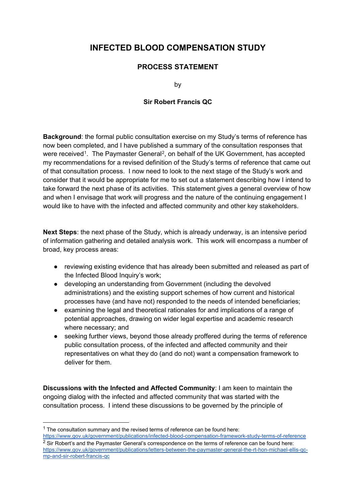## **INFECTED BLOOD COMPENSATION STUDY**

## **PROCESS STATEMENT**

by

## **Sir Robert Francis QC**

**Background**: the formal public consultation exercise on my Study's terms of reference has now been completed, and I have published a summary of the consultation responses that were received<sup>1</sup>. The Paymaster General<sup>[2](#page-0-1)</sup>, on behalf of the UK Government, has accepted my recommendations for a revised definition of the Study's terms of reference that came out of that consultation process. I now need to look to the next stage of the Study's work and consider that it would be appropriate for me to set out a statement describing how I intend to take forward the next phase of its activities. This statement gives a general overview of how and when I envisage that work will progress and the nature of the continuing engagement I would like to have with the infected and affected community and other key stakeholders.

**Next Steps**: the next phase of the Study, which is already underway, is an intensive period of information gathering and detailed analysis work. This work will encompass a number of broad, key process areas:

- reviewing existing evidence that has already been submitted and released as part of the Infected Blood Inquiry's work;
- developing an understanding from Government (including the devolved administrations) and the existing support schemes of how current and historical processes have (and have not) responded to the needs of intended beneficiaries;
- examining the legal and theoretical rationales for and implications of a range of potential approaches, drawing on wider legal expertise and academic research where necessary; and
- seeking further views, beyond those already proffered during the terms of reference public consultation process, of the infected and affected community and their representatives on what they do (and do not) want a compensation framework to deliver for them.

**Discussions with the Infected and Affected Community**: I am keen to maintain the ongoing dialog with the infected and affected community that was started with the consultation process. I intend these discussions to be governed by the principle of

<span id="page-0-0"></span> $1$  The consultation summary and the revised terms of reference can be found here:

<span id="page-0-1"></span><https://www.gov.uk/government/publications/infected-blood-compensation-framework-study-terms-of-reference>  $2$  Sir Robert's and the Paymaster General's correspondence on the terms of reference can be found here: [https://www.gov.uk/government/publications/letters-between-the-paymaster-general-the-rt-hon-michael-ellis-qc](https://www.gov.uk/government/publications/letters-between-the-paymaster-general-the-rt-hon-michael-ellis-qc-mp-and-sir-robert-francis-qc)[mp-and-sir-robert-francis-qc](https://www.gov.uk/government/publications/letters-between-the-paymaster-general-the-rt-hon-michael-ellis-qc-mp-and-sir-robert-francis-qc)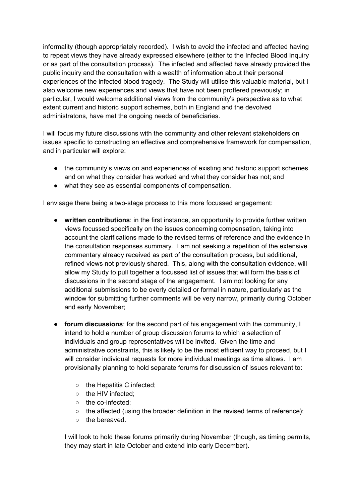informality (though appropriately recorded). I wish to avoid the infected and affected having to repeat views they have already expressed elsewhere (either to the Infected Blood Inquiry or as part of the consultation process). The infected and affected have already provided the public inquiry and the consultation with a wealth of information about their personal experiences of the infected blood tragedy. The Study will utilise this valuable material, but I also welcome new experiences and views that have not been proffered previously; in particular, I would welcome additional views from the community's perspective as to what extent current and historic support schemes, both in England and the devolved administratons, have met the ongoing needs of beneficiaries.

I will focus my future discussions with the community and other relevant stakeholders on issues specific to constructing an effective and comprehensive framework for compensation, and in particular will explore:

- the community's views on and experiences of existing and historic support schemes and on what they consider has worked and what they consider has not; and
- what they see as essential components of compensation.

I envisage there being a two-stage process to this more focussed engagement:

- **written contributions**: in the first instance, an opportunity to provide further written views focussed specifically on the issues concerning compensation, taking into account the clarifications made to the revised terms of reference and the evidence in the consultation responses summary. I am not seeking a repetition of the extensive commentary already received as part of the consultation process, but additional, refined views not previously shared. This, along with the consultation evidence, will allow my Study to pull together a focussed list of issues that will form the basis of discussions in the second stage of the engagement. I am not looking for any additional submissions to be overly detailed or formal in nature, particularly as the window for submitting further comments will be very narrow, primarily during October and early November;
- **forum discussions**: for the second part of his engagement with the community, I intend to hold a number of group discussion forums to which a selection of individuals and group representatives will be invited. Given the time and administrative constraints, this is likely to be the most efficient way to proceed, but I will consider individual requests for more individual meetings as time allows. I am provisionally planning to hold separate forums for discussion of issues relevant to:
	- the Hepatitis C infected;
	- the HIV infected;
	- the co-infected;
	- $\circ$  the affected (using the broader definition in the revised terms of reference);
	- the bereaved.

I will look to hold these forums primarily during November (though, as timing permits, they may start in late October and extend into early December).